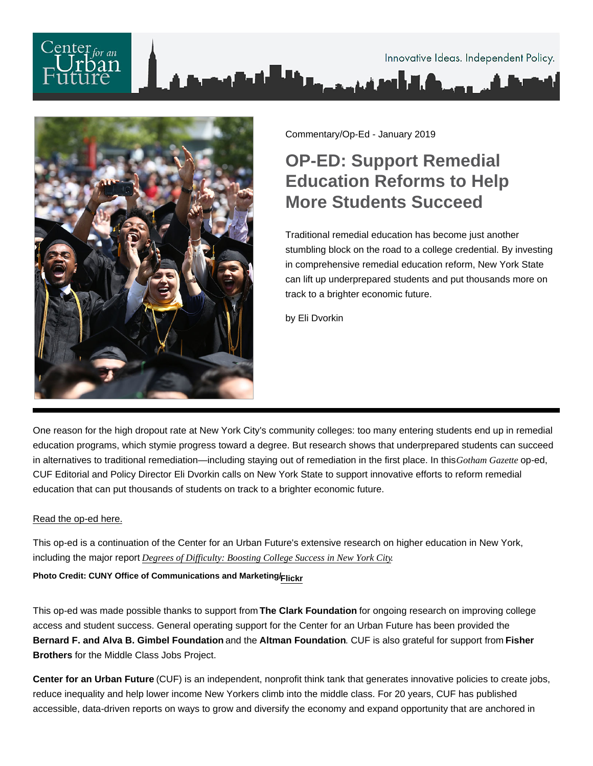

Commentary/Op-Ed - January 2019

## OP-ED: Support Remedial Education Reforms to Help More Students Succeed

Traditional remedial education has become just another stumbling block on the road to a college credential. By investing in comprehensive remedial education reform, New York State can lift up underprepared students and put thousands more on track to a brighter economic future.

by Eli Dvorkin

One reason for the high dropout rate at New York City's community colleges: too many entering students end up in remedial education programs, which stymie progress toward a degree. But research shows that underprepared students can succeed in alternatives to traditional remediation—including staying out of remediation in the first place. In this Gotham Gazettep-ed, CUF Editorial and Policy Director Eli Dvorkin calls on New York State to support innovative efforts to reform remedial education that can put thousands of students on track to a brighter economic future.

## [Read the op-ed here.](http://www.gothamgazette.com/opinion/8171-to-help-more-students-succeed-in-college-reform-remedial-education?mc_cid=779709c75a&mc_eid=167baa6d49)

This op-ed is a continuation of the Center for an Urban Future's extensive research on higher education in New York, including the major report [Degrees of Difficulty: Boosting College Success in New Yor](https://nycfuture.org/research/degrees-of-difficulty)k City .

Photo Credit: CUNY Office of Communications and Marketing/ [Flickr](https://www.flickr.com/photos/cunynewswire/34310321133/in/photostream/)

This op-ed was made possible thanks to support from The Clark Foundation for ongoing research on improving college access and student success. General operating support for the Center for an Urban Future has been provided the Bernard F. and Alva B. Gimbel Foundation and the Altman Foundation . CUF is also grateful for support from Fisher Brothers for the Middle Class Jobs Project.

Center for an Urban Future (CUF) is an independent, nonprofit think tank that generates innovative policies to create jobs, reduce inequality and help lower income New Yorkers climb into the middle class. For 20 years, CUF has published accessible, data-driven reports on ways to grow and diversify the economy and expand opportunity that are anchored in